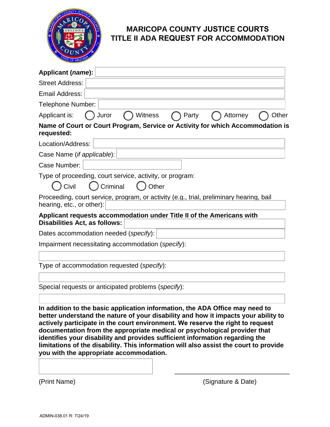

## **MARICOPA COUNTY JUSTICE COURTS TITLE II ADA REQUEST FOR ACCOMMODATION**

| Applicant (name):                                                                                                                                                                                                                                                                                                                                                                                                                                                                                                                                     |
|-------------------------------------------------------------------------------------------------------------------------------------------------------------------------------------------------------------------------------------------------------------------------------------------------------------------------------------------------------------------------------------------------------------------------------------------------------------------------------------------------------------------------------------------------------|
| <b>Street Address:</b>                                                                                                                                                                                                                                                                                                                                                                                                                                                                                                                                |
| Email Address:                                                                                                                                                                                                                                                                                                                                                                                                                                                                                                                                        |
| Telephone Number:                                                                                                                                                                                                                                                                                                                                                                                                                                                                                                                                     |
| Juror<br>Other<br>Applicant is:<br>Witness<br>Party<br>Attorney                                                                                                                                                                                                                                                                                                                                                                                                                                                                                       |
| Name of Court or Court Program, Service or Activity for which Accommodation is<br>requested:                                                                                                                                                                                                                                                                                                                                                                                                                                                          |
| Location/Address:                                                                                                                                                                                                                                                                                                                                                                                                                                                                                                                                     |
| Case Name ( <i>if applicable</i> ):                                                                                                                                                                                                                                                                                                                                                                                                                                                                                                                   |
| Case Number:                                                                                                                                                                                                                                                                                                                                                                                                                                                                                                                                          |
| Type of proceeding, court service, activity, or program:                                                                                                                                                                                                                                                                                                                                                                                                                                                                                              |
| Civil<br>Criminal<br>Other                                                                                                                                                                                                                                                                                                                                                                                                                                                                                                                            |
| Proceeding, court service, program, or activity (e.g., trial, preliminary hearing, bail<br>hearing, etc., or other):                                                                                                                                                                                                                                                                                                                                                                                                                                  |
| Applicant requests accommodation under Title II of the Americans with<br><b>Disabilities Act, as follows:</b>                                                                                                                                                                                                                                                                                                                                                                                                                                         |
| Dates accommodation needed (specify):                                                                                                                                                                                                                                                                                                                                                                                                                                                                                                                 |
| Impairment necessitating accommodation (specify):                                                                                                                                                                                                                                                                                                                                                                                                                                                                                                     |
|                                                                                                                                                                                                                                                                                                                                                                                                                                                                                                                                                       |
| Type of accommodation requested (specify):                                                                                                                                                                                                                                                                                                                                                                                                                                                                                                            |
| Special requests or anticipated problems (specify):                                                                                                                                                                                                                                                                                                                                                                                                                                                                                                   |
| In addition to the basic application information, the ADA Office may need to<br>better understand the nature of your disability and how it impacts your ability to<br>actively participate in the court environment. We reserve the right to request<br>documentation from the appropriate medical or psychological provider that<br>identifies your disability and provides sufficient information regarding the<br>limitations of the disability. This information will also assist the court to provide<br>you with the appropriate accommodation. |

(Print Name) (Signature & Date)